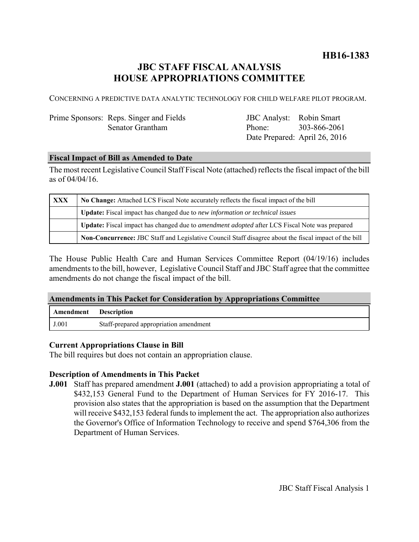## **HB16-1383**

# **JBC STAFF FISCAL ANALYSIS HOUSE APPROPRIATIONS COMMITTEE**

CONCERNING A PREDICTIVE DATA ANALYTIC TECHNOLOGY FOR CHILD WELFARE PILOT PROGRAM.

### Prime Sponsors: Reps. Singer and Fields Senator Grantham

JBC Analyst: Robin Smart Phone: Date Prepared: April 26, 2016 303-866-2061

#### **Fiscal Impact of Bill as Amended to Date**

The most recent Legislative Council Staff Fiscal Note (attached) reflects the fiscal impact of the bill as of 04/04/16.

| <b>XXX</b> | No Change: Attached LCS Fiscal Note accurately reflects the fiscal impact of the bill                 |
|------------|-------------------------------------------------------------------------------------------------------|
|            | <b>Update:</b> Fiscal impact has changed due to new information or technical issues                   |
|            | Update: Fiscal impact has changed due to <i>amendment adopted</i> after LCS Fiscal Note was prepared  |
|            | Non-Concurrence: JBC Staff and Legislative Council Staff disagree about the fiscal impact of the bill |

The House Public Health Care and Human Services Committee Report (04/19/16) includes amendments to the bill, however, Legislative Council Staff and JBC Staff agree that the committee amendments do not change the fiscal impact of the bill.

#### **Amendments in This Packet for Consideration by Appropriations Committee**

| Amendment | <b>Description</b>                     |
|-----------|----------------------------------------|
| J.001     | Staff-prepared appropriation amendment |

#### **Current Appropriations Clause in Bill**

The bill requires but does not contain an appropriation clause.

#### **Description of Amendments in This Packet**

**J.001** Staff has prepared amendment **J.001** (attached) to add a provision appropriating a total of \$432,153 General Fund to the Department of Human Services for FY 2016-17. This provision also states that the appropriation is based on the assumption that the Department will receive \$432,153 federal funds to implement the act. The appropriation also authorizes the Governor's Office of Information Technology to receive and spend \$764,306 from the Department of Human Services.